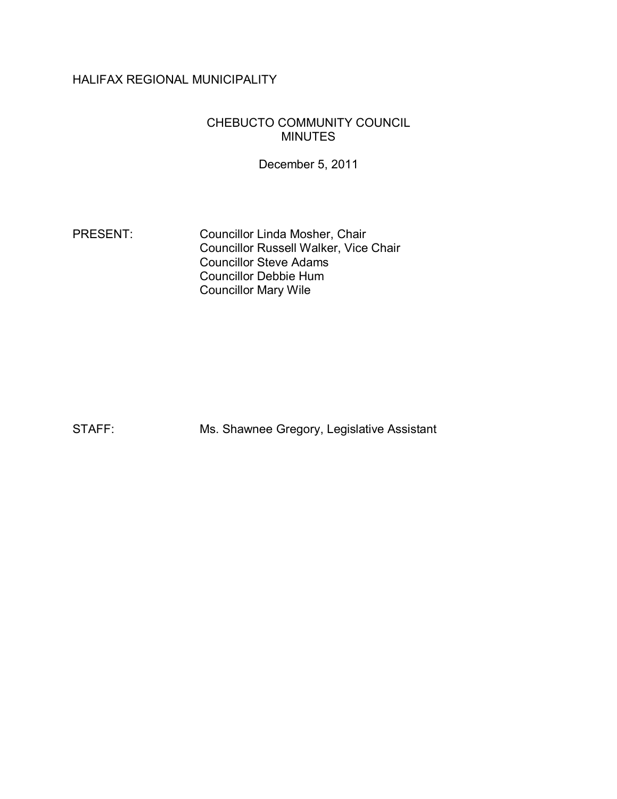# HALIFAX REGIONAL MUNICIPALITY

## CHEBUCTO COMMUNITY COUNCIL MINUTES

December 5, 2011

PRESENT: Councillor Linda Mosher, Chair Councillor Russell Walker, Vice Chair Councillor Steve Adams Councillor Debbie Hum Councillor Mary Wile

STAFF: Ms. Shawnee Gregory, Legislative Assistant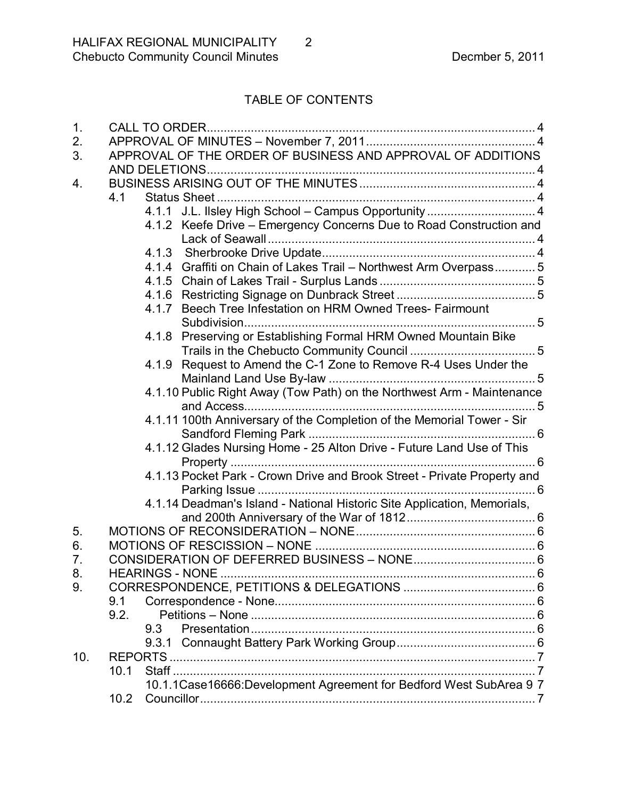# TABLE OF CONTENTS

| 1.  | <b>CALL TO ORDER</b>                                                     |
|-----|--------------------------------------------------------------------------|
| 2.  |                                                                          |
| 3.  | APPROVAL OF THE ORDER OF BUSINESS AND APPROVAL OF ADDITIONS              |
|     |                                                                          |
| 4.  |                                                                          |
|     | 4.1                                                                      |
|     | 4.1.1 J.L. Ilsley High School - Campus Opportunity  4                    |
|     | 4.1.2 Keefe Drive – Emergency Concerns Due to Road Construction and      |
|     |                                                                          |
|     |                                                                          |
|     | 4.1.4 Graffiti on Chain of Lakes Trail - Northwest Arm Overpass 5        |
|     |                                                                          |
|     |                                                                          |
|     | 4.1.7 Beech Tree Infestation on HRM Owned Trees- Fairmount               |
|     |                                                                          |
|     | 4.1.8 Preserving or Establishing Formal HRM Owned Mountain Bike          |
|     |                                                                          |
|     | 4.1.9 Request to Amend the C-1 Zone to Remove R-4 Uses Under the         |
|     |                                                                          |
|     | 4.1.10 Public Right Away (Tow Path) on the Northwest Arm - Maintenance   |
|     |                                                                          |
|     | 4.1.11 100th Anniversary of the Completion of the Memorial Tower - Sir   |
|     |                                                                          |
|     | 4.1.12 Glades Nursing Home - 25 Alton Drive - Future Land Use of This    |
|     |                                                                          |
|     | 4.1.13 Pocket Park - Crown Drive and Brook Street - Private Property and |
|     |                                                                          |
|     | 4.1.14 Deadman's Island - National Historic Site Application, Memorials, |
|     |                                                                          |
| 5.  |                                                                          |
| 6.  |                                                                          |
| 7.  |                                                                          |
| 8.  | <b>HEARINGS - NONE</b>                                                   |
| 9.  |                                                                          |
|     | 9.1                                                                      |
|     | 9.2.                                                                     |
|     | 9.3                                                                      |
|     |                                                                          |
| 10. |                                                                          |
|     | 10.1                                                                     |
|     | 10.1.1 Case 16666: Development Agreement for Bedford West SubArea 9 7    |
|     | 10.2                                                                     |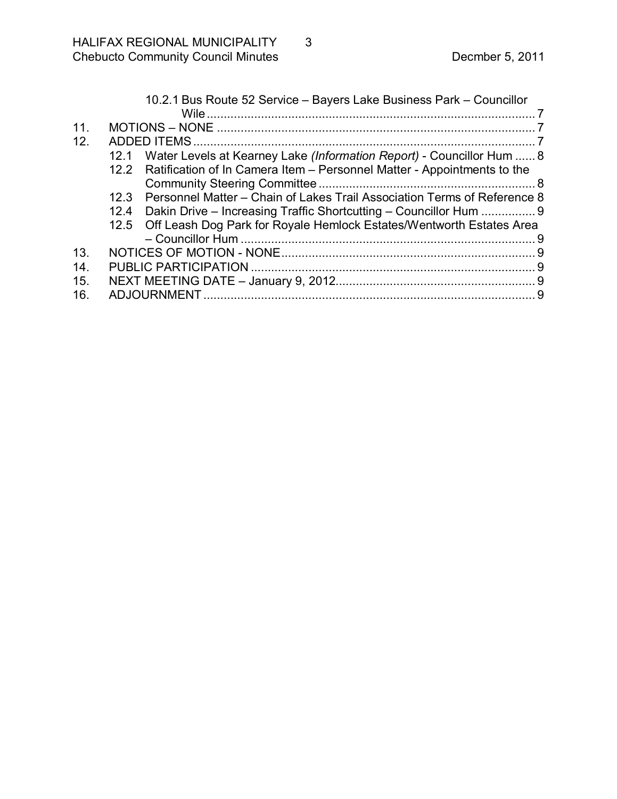|     |              | 10.2.1 Bus Route 52 Service - Bayers Lake Business Park - Councillor         |  |  |
|-----|--------------|------------------------------------------------------------------------------|--|--|
|     |              |                                                                              |  |  |
| 11. |              |                                                                              |  |  |
| 12. | ADDED ITEMS. |                                                                              |  |  |
|     | 12.1         | Water Levels at Kearney Lake (Information Report) - Councillor Hum  8        |  |  |
|     |              | 12.2 Ratification of In Camera Item - Personnel Matter - Appointments to the |  |  |
|     |              |                                                                              |  |  |
|     | 12.3         | Personnel Matter – Chain of Lakes Trail Association Terms of Reference 8     |  |  |
|     |              | 12.4 Dakin Drive - Increasing Traffic Shortcutting - Councillor Hum  9       |  |  |
|     |              | 12.5 Off Leash Dog Park for Royale Hemlock Estates/Wentworth Estates Area    |  |  |
|     |              |                                                                              |  |  |
| 13. |              |                                                                              |  |  |
| 14. |              |                                                                              |  |  |
| 15. |              |                                                                              |  |  |
| 16. |              |                                                                              |  |  |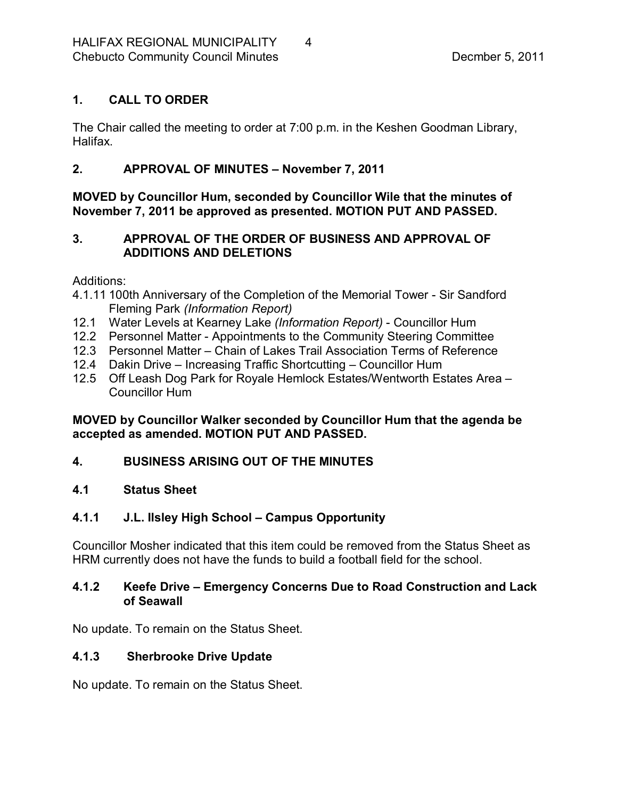# <span id="page-3-0"></span>**1. CALL TO ORDER**

The Chair called the meeting to order at 7:00 p.m. in the Keshen Goodman Library, Halifax.

# <span id="page-3-1"></span>**2. APPROVAL OF MINUTES – November 7, 2011**

**MOVED by Councillor Hum, seconded by Councillor Wile that the minutes of November 7, 2011 be approved as presented. MOTION PUT AND PASSED.** 

# <span id="page-3-2"></span>**3. APPROVAL OF THE ORDER OF BUSINESS AND APPROVAL OF ADDITIONS AND DELETIONS**

Additions:

- 4.1.11 100th Anniversary of the Completion of the Memorial Tower Sir Sandford Fleming Park *(Information Report)*
- 12.1 Water Levels at Kearney Lake *(Information Report)* Councillor Hum
- 12.2 Personnel Matter Appointments to the Community Steering Committee
- 12.3 Personnel Matter Chain of Lakes Trail Association Terms of Reference
- 12.4 Dakin Drive Increasing Traffic Shortcutting Councillor Hum
- 12.5 Off Leash Dog Park for Royale Hemlock Estates/Wentworth Estates Area Councillor Hum

**MOVED by Councillor Walker seconded by Councillor Hum that the agenda be accepted as amended. MOTION PUT AND PASSED.** 

# <span id="page-3-3"></span>**4. BUSINESS ARISING OUT OF THE MINUTES**

## <span id="page-3-4"></span>**4.1 Status Sheet**

# <span id="page-3-5"></span>**4.1.1 J.L. Ilsley High School – Campus Opportunity**

Councillor Mosher indicated that this item could be removed from the Status Sheet as HRM currently does not have the funds to build a football field for the school.

## <span id="page-3-6"></span>**4.1.2 Keefe Drive – Emergency Concerns Due to Road Construction and Lack of Seawall**

No update. To remain on the Status Sheet.

# <span id="page-3-7"></span>**4.1.3 Sherbrooke Drive Update**

No update. To remain on the Status Sheet.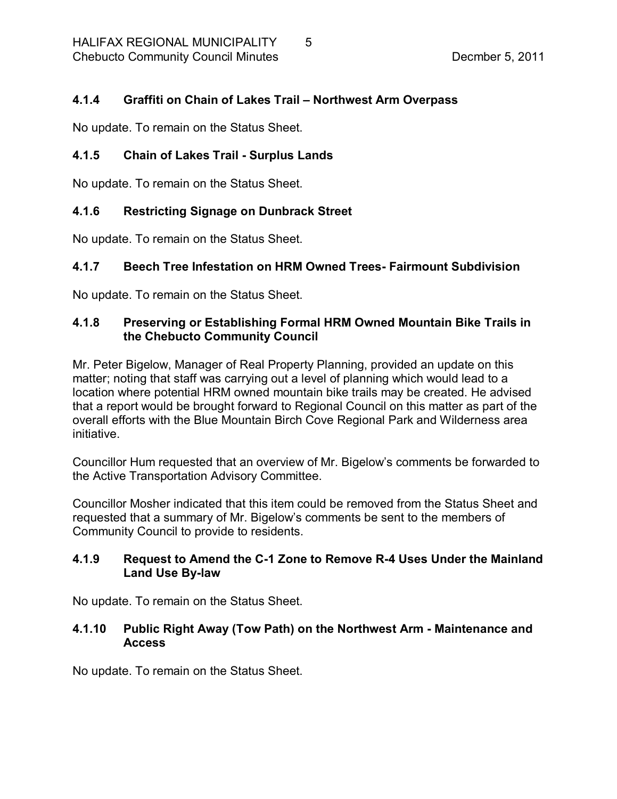## <span id="page-4-0"></span>**4.1.4 Graffiti on Chain of Lakes Trail – Northwest Arm Overpass**

No update. To remain on the Status Sheet.

# <span id="page-4-1"></span>**4.1.5 Chain of Lakes Trail Surplus Lands**

No update. To remain on the Status Sheet.

## <span id="page-4-2"></span>**4.1.6 Restricting Signage on Dunbrack Street**

No update. To remain on the Status Sheet.

## <span id="page-4-3"></span>**4.1.7 Beech Tree Infestation on HRM Owned Trees Fairmount Subdivision**

No update. To remain on the Status Sheet.

## <span id="page-4-4"></span>**4.1.8 Preserving or Establishing Formal HRM Owned Mountain Bike Trails in the Chebucto Community Council**

Mr. Peter Bigelow, Manager of Real Property Planning, provided an update on this matter; noting that staff was carrying out a level of planning which would lead to a location where potential HRM owned mountain bike trails may be created. He advised that a report would be brought forward to Regional Council on this matter as part of the overall efforts with the Blue Mountain Birch Cove Regional Park and Wilderness area initiative.

Councillor Hum requested that an overview of Mr. Bigelow's comments be forwarded to the Active Transportation Advisory Committee.

Councillor Mosher indicated that this item could be removed from the Status Sheet and requested that a summary of Mr. Bigelow's comments be sent to the members of Community Council to provide to residents.

## <span id="page-4-5"></span>**4.1.9 Request to Amend the C1 Zone to Remove R4 Uses Under the Mainland** Land Use By-law

No update. To remain on the Status Sheet.

#### <span id="page-4-6"></span>**4.1.10 Public Right Away (Tow Path) on the Northwest Arm Maintenance and Access**

No update. To remain on the Status Sheet.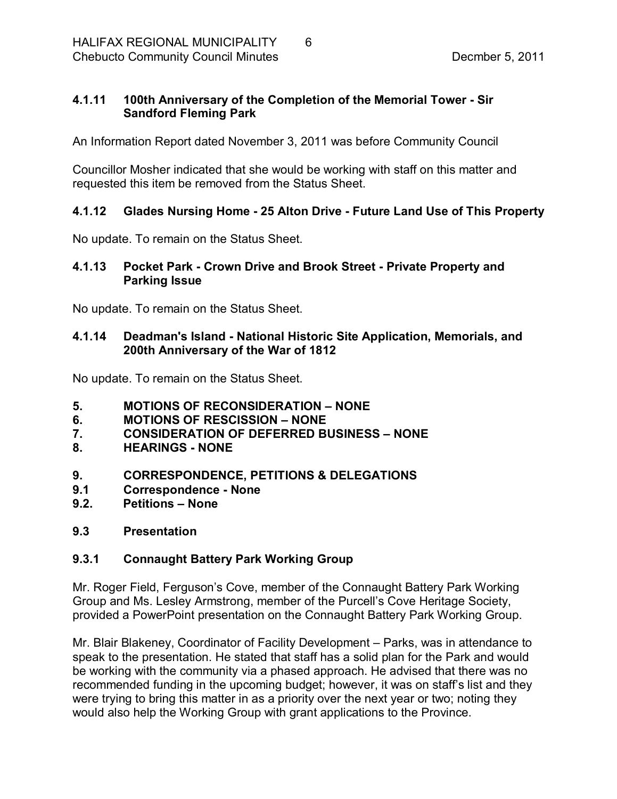## <span id="page-5-0"></span>**4.1.11 100th Anniversary of the Completion of the Memorial Tower Sir Sandford Fleming Park**

An Information Report dated November 3, 2011 was before Community Council

Councillor Mosher indicated that she would be working with staff on this matter and requested this item be removed from the Status Sheet.

## <span id="page-5-1"></span>**4.1.12 Glades Nursing Home 25 Alton Drive Future Land Use of This Property**

No update. To remain on the Status Sheet.

#### <span id="page-5-2"></span>**4.1.13 Pocket Park Crown Drive and Brook Street Private Property and Parking Issue**

No update. To remain on the Status Sheet.

## <span id="page-5-3"></span>**4.1.14 Deadman's Island National Historic Site Application, Memorials, and 200th Anniversary of the War of 1812**

No update. To remain on the Status Sheet.

- <span id="page-5-4"></span>**5. MOTIONS OF RECONSIDERATION – NONE**
- <span id="page-5-5"></span>**6. MOTIONS OF RESCISSION – NONE**
- <span id="page-5-6"></span>**7. CONSIDERATION OF DEFERRED BUSINESS – NONE**
- <span id="page-5-7"></span>**8. HEARINGS NONE**
- <span id="page-5-8"></span>**9. CORRESPONDENCE, PETITIONS & DELEGATIONS**
- <span id="page-5-9"></span>**9.1 Correspondence None**
- <span id="page-5-10"></span>**9.2. Petitions – None**
- <span id="page-5-11"></span>**9.3 Presentation**

## <span id="page-5-12"></span>**9.3.1 Connaught Battery Park Working Group**

Mr. Roger Field, Ferguson's Cove, member of the Connaught Battery Park Working Group and Ms. Lesley Armstrong, member of the Purcell's Cove Heritage Society, provided a PowerPoint presentation on the Connaught Battery Park Working Group.

Mr. Blair Blakeney, Coordinator of Facility Development – Parks, was in attendance to speak to the presentation. He stated that staff has a solid plan for the Park and would be working with the community via a phased approach. He advised that there was no recommended funding in the upcoming budget; however, it was on staff's list and they were trying to bring this matter in as a priority over the next year or two; noting they would also help the Working Group with grant applications to the Province.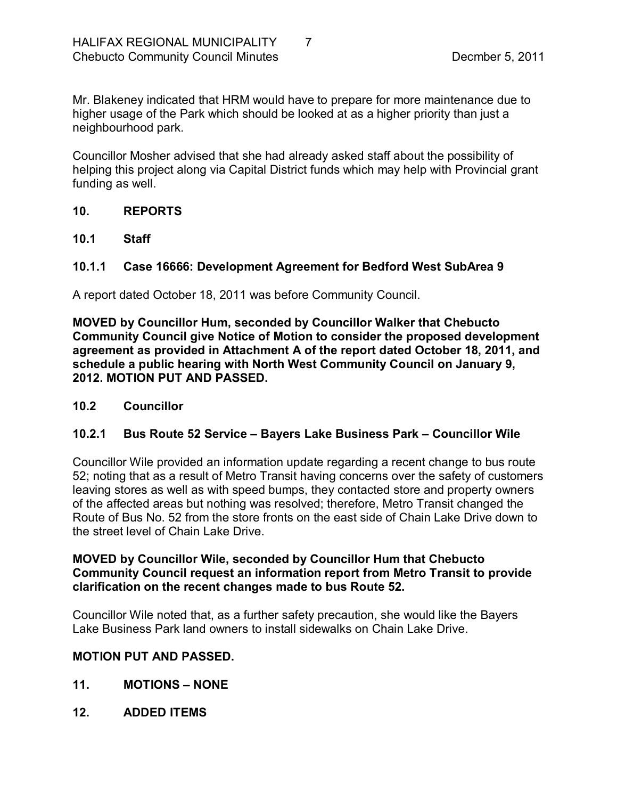Mr. Blakeney indicated that HRM would have to prepare for more maintenance due to higher usage of the Park which should be looked at as a higher priority than just a neighbourhood park.

Councillor Mosher advised that she had already asked staff about the possibility of helping this project along via Capital District funds which may help with Provincial grant funding as well.

## <span id="page-6-0"></span>**10. REPORTS**

<span id="page-6-1"></span>**10.1 Staff**

## <span id="page-6-2"></span>**10.1.1 Case 16666: Development Agreement for Bedford West SubArea 9**

A report dated October 18, 2011 was before Community Council.

**MOVED by Councillor Hum, seconded by Councillor Walker that Chebucto Community Council give Notice of Motion to consider the proposed development agreement as provided in Attachment A of the report dated October 18, 2011, and schedule a public hearing with North West Community Council on January 9, 2012. MOTION PUT AND PASSED.** 

## <span id="page-6-3"></span>**10.2 Councillor**

## <span id="page-6-4"></span>**10.2.1 Bus Route 52 Service – Bayers Lake Business Park – Councillor Wile**

Councillor Wile provided an information update regarding a recent change to bus route 52; noting that as a result of Metro Transit having concerns over the safety of customers leaving stores as well as with speed bumps, they contacted store and property owners of the affected areas but nothing was resolved; therefore, Metro Transit changed the Route of Bus No. 52 from the store fronts on the east side of Chain Lake Drive down to the street level of Chain Lake Drive.

#### **MOVED by Councillor Wile, seconded by Councillor Hum that Chebucto Community Council request an information report from Metro Transit to provide clarification on the recent changes made to bus Route 52.**

Councillor Wile noted that, as a further safety precaution, she would like the Bayers Lake Business Park land owners to install sidewalks on Chain Lake Drive.

## **MOTION PUT AND PASSED.**

- <span id="page-6-5"></span>**11. MOTIONS – NONE**
- <span id="page-6-6"></span>**12. ADDED ITEMS**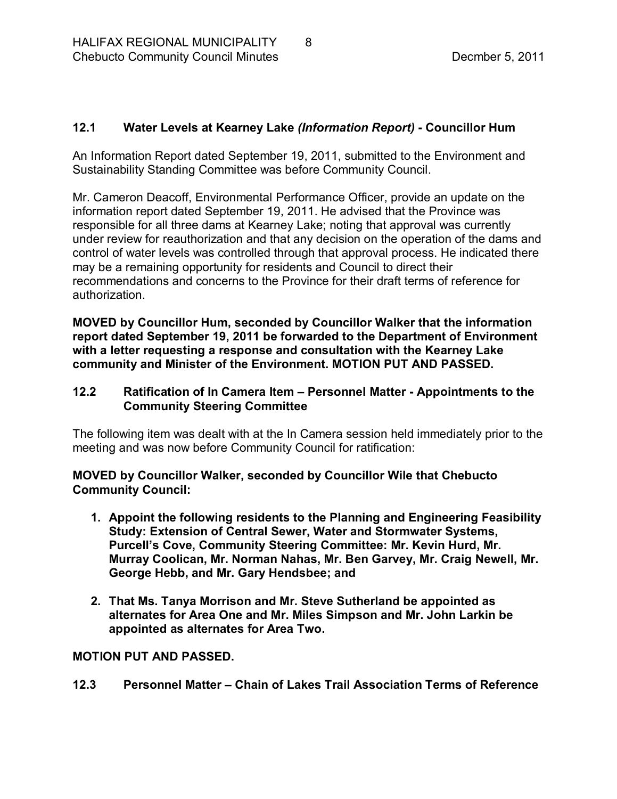## <span id="page-7-0"></span>**12.1 Water Levels at Kearney Lake** *(Information Report)*  **Councillor Hum**

An Information Report dated September 19, 2011, submitted to the Environment and Sustainability Standing Committee was before Community Council.

Mr. Cameron Deacoff, Environmental Performance Officer, provide an update on the information report dated September 19, 2011. He advised that the Province was responsible for all three dams at Kearney Lake; noting that approval was currently under review for reauthorization and that any decision on the operation of the dams and control of water levels was controlled through that approval process. He indicated there may be a remaining opportunity for residents and Council to direct their recommendations and concerns to the Province for their draft terms of reference for authorization.

**MOVED by Councillor Hum, seconded by Councillor Walker that the information report dated September 19, 2011 be forwarded to the Department of Environment with a letter requesting a response and consultation with the Kearney Lake community and Minister of the Environment. MOTION PUT AND PASSED.** 

#### <span id="page-7-1"></span>**12.2 Ratification of In Camera Item – Personnel Matter Appointments to the Community Steering Committee**

The following item was dealt with at the In Camera session held immediately prior to the meeting and was now before Community Council for ratification:

**MOVED by Councillor Walker, seconded by Councillor Wile that Chebucto Community Council:**

- **1. Appoint the following residents to the Planning and Engineering Feasibility Study: Extension of Central Sewer, Water and Stormwater Systems, Purcell's Cove, Community Steering Committee: Mr. Kevin Hurd, Mr. Murray Coolican, Mr. Norman Nahas, Mr. Ben Garvey, Mr. Craig Newell, Mr. George Hebb, and Mr. Gary Hendsbee; and**
- **2. That Ms. Tanya Morrison and Mr. Steve Sutherland be appointed as alternates for Area One and Mr. Miles Simpson and Mr. John Larkin be appointed as alternates for Area Two.**

## **MOTION PUT AND PASSED.**

<span id="page-7-2"></span>**12.3 Personnel Matter – Chain of Lakes Trail Association Terms of Reference**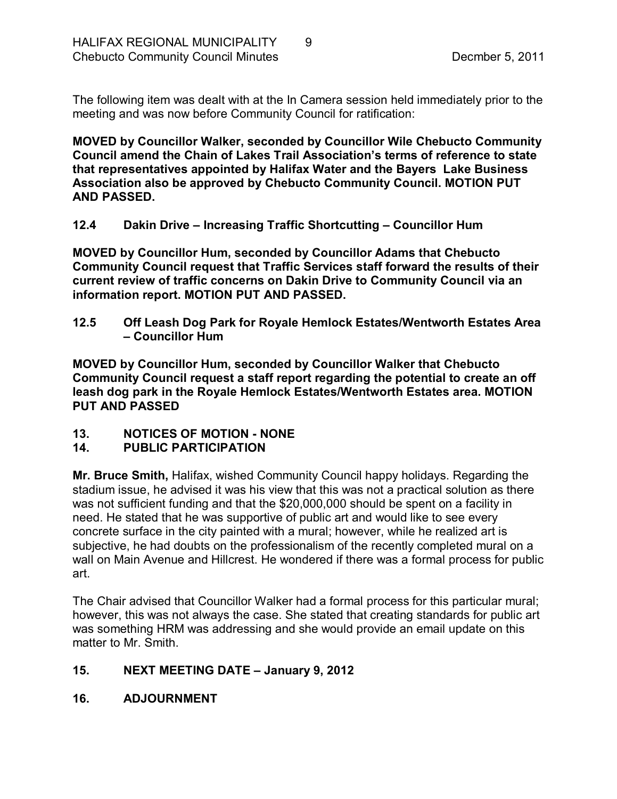The following item was dealt with at the In Camera session held immediately prior to the meeting and was now before Community Council for ratification:

**MOVED by Councillor Walker, seconded by Councillor Wile Chebucto Community Council amend the Chain of Lakes Trail Association's terms of reference to state that representatives appointed by Halifax Water and the Bayers Lake Business Association also be approved by Chebucto Community Council. MOTION PUT AND PASSED.** 

<span id="page-8-0"></span>**12.4 Dakin Drive – Increasing Traffic Shortcutting – Councillor Hum**

**MOVED by Councillor Hum, seconded by Councillor Adams that Chebucto Community Council request that Traffic Services staff forward the results of their current review of traffic concerns on Dakin Drive to Community Council via an information report. MOTION PUT AND PASSED.** 

<span id="page-8-1"></span>**12.5 Off Leash Dog Park for Royale Hemlock Estates/Wentworth Estates Area – Councillor Hum**

**MOVED by Councillor Hum, seconded by Councillor Walker that Chebucto Community Council request a staff report regarding the potential to create an off leash dog park in the Royale Hemlock Estates/Wentworth Estates area. MOTION PUT AND PASSED** 

<span id="page-8-2"></span>13. NOTICES OF MOTION - NONE

## <span id="page-8-3"></span>**14. PUBLIC PARTICIPATION**

**Mr. Bruce Smith,** Halifax, wished Community Council happy holidays. Regarding the stadium issue, he advised it was his view that this was not a practical solution as there was not sufficient funding and that the \$20,000,000 should be spent on a facility in need. He stated that he was supportive of public art and would like to see every concrete surface in the city painted with a mural; however, while he realized art is subjective, he had doubts on the professionalism of the recently completed mural on a wall on Main Avenue and Hillcrest. He wondered if there was a formal process for public art.

The Chair advised that Councillor Walker had a formal process for this particular mural; however, this was not always the case. She stated that creating standards for public art was something HRM was addressing and she would provide an email update on this matter to Mr. Smith.

## <span id="page-8-4"></span>**15. NEXT MEETING DATE – January 9, 2012**

## <span id="page-8-5"></span>**16. ADJOURNMENT**